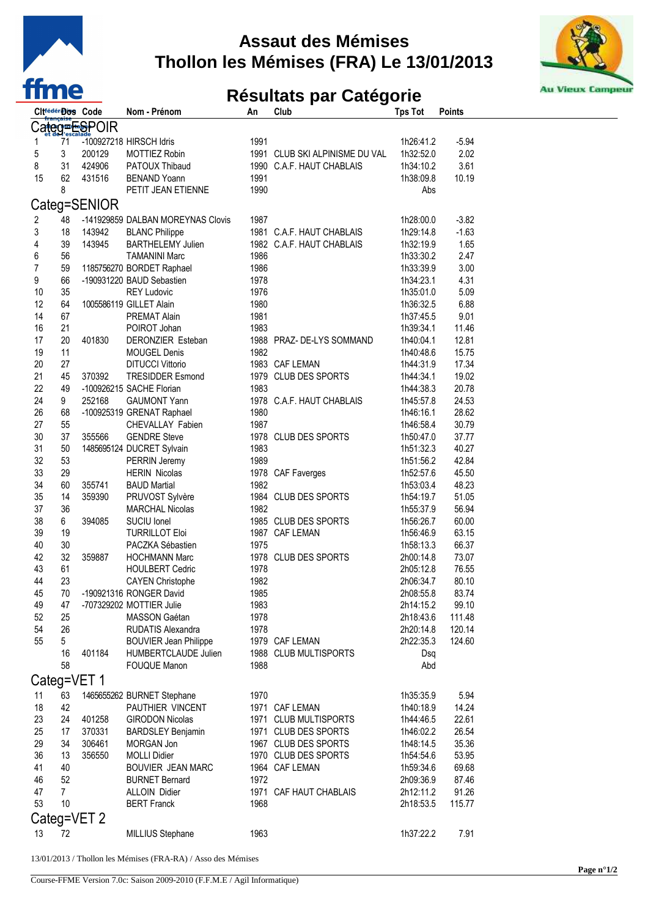

## **Assaut des Mémises Thollon les Mémises (FRA) Le 13/01/2013**



## **Résultats par Catégorie**

|                            | Cit <sup>rédér</sup> ios Code |              | Nom - Prénom                      | An   | Club                           | <b>Tps Tot</b> | <b>Points</b> |  |  |  |  |
|----------------------------|-------------------------------|--------------|-----------------------------------|------|--------------------------------|----------------|---------------|--|--|--|--|
| Ca <del>teg≖⊞</del> ୍ବPOIR |                               |              |                                   |      |                                |                |               |  |  |  |  |
| 1                          | 71                            |              | -100927218 HIRSCH Idris           | 1991 |                                | 1h26:41.2      | $-5.94$       |  |  |  |  |
|                            |                               |              |                                   |      |                                |                |               |  |  |  |  |
| 5                          | 3                             | 200129       | <b>MOTTIEZ Robin</b>              |      | 1991 CLUB SKI ALPINISME DU VAL | 1h32:52.0      | 2.02          |  |  |  |  |
| 8                          | 31                            | 424906       | PATOUX Thibaud                    |      | 1990 C.A.F. HAUT CHABLAIS      | 1h34:10.2      | 3.61          |  |  |  |  |
| 15                         | 62                            | 431516       | <b>BENAND Yoann</b>               | 1991 |                                | 1h38:09.8      | 10.19         |  |  |  |  |
|                            | 8                             |              | PETIT JEAN ETIENNE                | 1990 |                                | Abs            |               |  |  |  |  |
|                            |                               | Categ=SENIOR |                                   |      |                                |                |               |  |  |  |  |
| 2                          | 48                            |              | -141929859 DALBAN MOREYNAS Clovis | 1987 |                                | 1h28:00.0      | $-3.82$       |  |  |  |  |
| 3                          | 18                            | 143942       | <b>BLANC Philippe</b>             |      | 1981 C.A.F. HAUT CHABLAIS      | 1h29:14.8      | $-1.63$       |  |  |  |  |
| 4                          | 39                            | 143945       | <b>BARTHELEMY Julien</b>          |      | 1982 C.A.F. HAUT CHABLAIS      | 1h32:19.9      | 1.65          |  |  |  |  |
| 6                          | 56                            |              | <b>TAMANINI Marc</b>              | 1986 |                                | 1h33:30.2      | 2.47          |  |  |  |  |
| 7                          | 59                            |              | 1185756270 BORDET Raphael         | 1986 |                                | 1h33:39.9      | 3.00          |  |  |  |  |
| 9                          | 66                            |              |                                   |      |                                |                | 4.31          |  |  |  |  |
|                            |                               |              | -190931220 BAUD Sebastien         | 1978 |                                | 1h34:23.1      |               |  |  |  |  |
| 10                         | 35                            |              | <b>REY Ludovic</b>                | 1976 |                                | 1h35:01.0      | 5.09          |  |  |  |  |
| 12                         | 64                            |              | 1005586119 GILLET Alain           | 1980 |                                | 1h36:32.5      | 6.88          |  |  |  |  |
| 14                         | 67                            |              | <b>PREMAT Alain</b>               | 1981 |                                | 1h37:45.5      | 9.01          |  |  |  |  |
| 16                         | 21                            |              | POIROT Johan                      | 1983 |                                | 1h39:34.1      | 11.46         |  |  |  |  |
| 17                         | 20                            | 401830       | DERONZIER Esteban                 |      | 1988 PRAZ- DE-LYS SOMMAND      | 1h40:04.1      | 12.81         |  |  |  |  |
| 19                         | 11                            |              | <b>MOUGEL Denis</b>               | 1982 |                                | 1h40:48.6      | 15.75         |  |  |  |  |
| 20                         | 27                            |              | <b>DITUCCI Vittorio</b>           |      | 1983 CAF LEMAN                 | 1h44:31.9      | 17.34         |  |  |  |  |
| 21                         | 45                            | 370392       | <b>TRESIDDER Esmond</b>           |      | 1979 CLUB DES SPORTS           | 1h44:34.1      | 19.02         |  |  |  |  |
| 22                         | 49                            |              | -100926215 SACHE Florian          | 1983 |                                | 1h44:38.3      | 20.78         |  |  |  |  |
| 24                         | 9                             | 252168       | <b>GAUMONT Yann</b>               |      | 1978 C.A.F. HAUT CHABLAIS      | 1h45:57.8      | 24.53         |  |  |  |  |
| 26                         | 68                            |              | -100925319 GRENAT Raphael         | 1980 |                                | 1h46:16.1      | 28.62         |  |  |  |  |
| 27                         | 55                            |              | CHEVALLAY Fabien                  | 1987 |                                | 1h46:58.4      | 30.79         |  |  |  |  |
| 30                         | 37                            | 355566       | <b>GENDRE Steve</b>               |      | 1978 CLUB DES SPORTS           | 1h50:47.0      | 37.77         |  |  |  |  |
| 31                         | 50                            |              | 1485695124 DUCRET Sylvain         | 1983 |                                | 1h51:32.3      | 40.27         |  |  |  |  |
| 32                         | 53                            |              | PERRIN Jeremy                     | 1989 |                                | 1h51:56.2      | 42.84         |  |  |  |  |
| 33                         | 29                            |              | <b>HERIN Nicolas</b>              |      | 1978 CAF Faverges              | 1h52:57.6      | 45.50         |  |  |  |  |
| 34                         | 60                            | 355741       | <b>BAUD Martial</b>               | 1982 |                                | 1h53:03.4      | 48.23         |  |  |  |  |
| 35                         | 14                            | 359390       | PRUVOST Sylvère                   |      | 1984 CLUB DES SPORTS           | 1h54:19.7      | 51.05         |  |  |  |  |
| 37                         | 36                            |              | <b>MARCHAL Nicolas</b>            | 1982 |                                | 1h55:37.9      | 56.94         |  |  |  |  |
| 38                         | 6                             | 394085       | SUCIU Ionel                       |      | 1985 CLUB DES SPORTS           | 1h56:26.7      | 60.00         |  |  |  |  |
| 39                         | 19                            |              | <b>TURRILLOT Eloi</b>             |      | 1987 CAF LEMAN                 | 1h56:46.9      | 63.15         |  |  |  |  |
| 40                         | 30                            |              | PACZKA Sébastien                  | 1975 |                                | 1h58:13.3      | 66.37         |  |  |  |  |
| 42                         | 32                            | 359887       | <b>HOCHMANN Marc</b>              |      | 1978 CLUB DES SPORTS           | 2h00:14.8      | 73.07         |  |  |  |  |
| 43                         | 61                            |              | <b>HOULBERT Cedric</b>            | 1978 |                                | 2h05:12.8      | 76.55         |  |  |  |  |
| 44                         | 23                            |              | <b>CAYEN Christophe</b>           | 1982 |                                | 2h06:34.7      | 80.10         |  |  |  |  |
| 45                         | 70                            |              | -190921316 RONGER David           | 1985 |                                | 2h08:55.8      | 83.74         |  |  |  |  |
| 49                         | 47                            |              | -707329202 MOTTIER Julie          | 1983 |                                | 2h14:15.2      | 99.10         |  |  |  |  |
| 52                         | 25                            |              | MASSON Gaétan                     | 1978 |                                | 2h18:43.6      | 111.48        |  |  |  |  |
| 54                         | 26                            |              | <b>RUDATIS Alexandra</b>          | 1978 |                                | 2h20:14.8      | 120.14        |  |  |  |  |
| 55                         | 5                             |              | <b>BOUVIER Jean Philippe</b>      |      | 1979 CAF LEMAN                 | 2h22:35.3      | 124.60        |  |  |  |  |
|                            | 16                            | 401184       | HUMBERTCLAUDE Julien              |      | 1988 CLUB MULTISPORTS          | Dsq            |               |  |  |  |  |
|                            | 58                            |              | <b>FOUQUE Manon</b>               | 1988 |                                | Abd            |               |  |  |  |  |
|                            |                               |              |                                   |      |                                |                |               |  |  |  |  |
|                            |                               | Categ=VET 1  |                                   |      |                                |                |               |  |  |  |  |
| 11                         | 63                            |              | 1465655262 BURNET Stephane        | 1970 |                                | 1h35:35.9      | 5.94          |  |  |  |  |
| 18                         | 42                            |              | PAUTHIER VINCENT                  |      | 1971 CAF LEMAN                 | 1h40:18.9      | 14.24         |  |  |  |  |
| 23                         | 24                            | 401258       | <b>GIRODON Nicolas</b>            |      | 1971 CLUB MULTISPORTS          | 1h44:46.5      | 22.61         |  |  |  |  |
| 25                         | 17                            | 370331       | <b>BARDSLEY Benjamin</b>          |      | 1971 CLUB DES SPORTS           | 1h46:02.2      | 26.54         |  |  |  |  |
| 29                         | 34                            | 306461       | MORGAN Jon                        |      | 1967 CLUB DES SPORTS           | 1h48:14.5      | 35.36         |  |  |  |  |
| 36                         | 13                            | 356550       | <b>MOLLI Didier</b>               |      | 1970 CLUB DES SPORTS           | 1h54:54.6      | 53.95         |  |  |  |  |
| 41                         | 40                            |              | BOUVIER JEAN MARC                 |      | 1964 CAF LEMAN                 | 1h59:34.6      | 69.68         |  |  |  |  |
| 46                         | 52                            |              | <b>BURNET Bernard</b>             | 1972 |                                | 2h09:36.9      | 87.46         |  |  |  |  |
| 47                         | $\mathbf{7}$                  |              | <b>ALLOIN Didier</b>              |      | 1971 CAF HAUT CHABLAIS         | 2h12:11.2      | 91.26         |  |  |  |  |
| 53                         | 10                            |              | <b>BERT Franck</b>                | 1968 |                                | 2h18:53.5      | 115.77        |  |  |  |  |
| Categ=VET 2                |                               |              |                                   |      |                                |                |               |  |  |  |  |
|                            |                               |              |                                   |      |                                |                |               |  |  |  |  |
| 13                         | 72                            |              | MILLIUS Stephane                  | 1963 |                                | 1h37:22.2      | 7.91          |  |  |  |  |
|                            |                               |              |                                   |      |                                |                |               |  |  |  |  |

13/01/2013 / Thollon les Mémises (FRA-RA) / Asso des Mémises